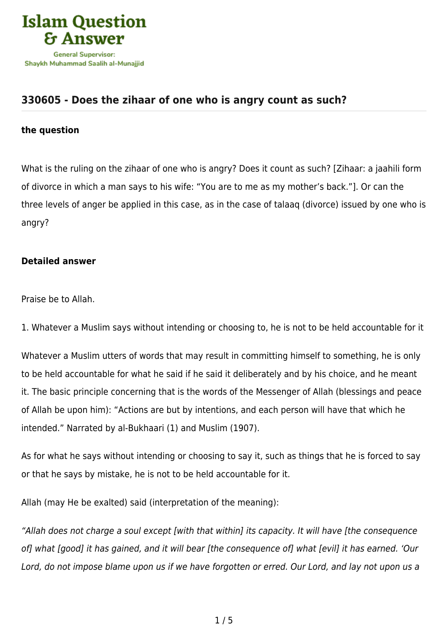

## **[330605 - Does the zihaar of one who is angry count as such?](https://islamqa.com/en/answers/330605/does-the-zihaar-of-one-who-is-angry-count-as-such)**

## **the question**

What is the ruling on the zihaar of one who is angry? Does it count as such? [Zihaar: a jaahili form of divorce in which a man says to his wife: "You are to me as my mother's back."]. Or can the three levels of anger be applied in this case, as in the case of talaaq (divorce) issued by one who is angry?

## **Detailed answer**

Praise be to Allah.

1. Whatever a Muslim says without intending or choosing to, he is not to be held accountable for it

Whatever a Muslim utters of words that may result in committing himself to something, he is only to be held accountable for what he said if he said it deliberately and by his choice, and he meant it. The basic principle concerning that is the words of the Messenger of Allah (blessings and peace of Allah be upon him): "Actions are but by intentions, and each person will have that which he intended." Narrated by al-Bukhaari (1) and Muslim (1907).

As for what he says without intending or choosing to say it, such as things that he is forced to say or that he says by mistake, he is not to be held accountable for it.

Allah (may He be exalted) said (interpretation of the meaning):

"Allah does not charge a soul except [with that within] its capacity. It will have [the consequence of] what [good] it has gained, and it will bear [the consequence of] what [evil] it has earned. 'Our Lord, do not impose blame upon us if we have forgotten or erred. Our Lord, and lay not upon us a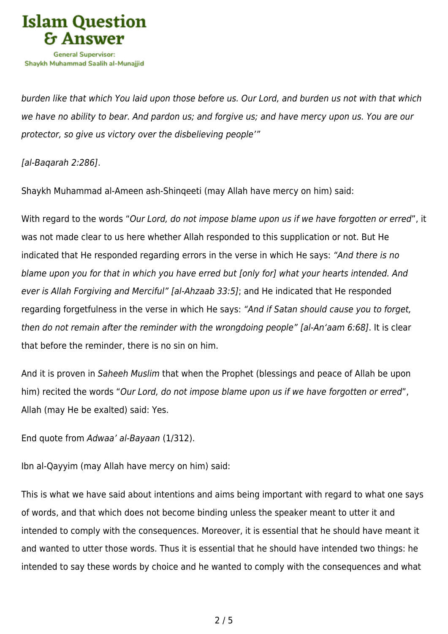

burden like that which You laid upon those before us. Our Lord, and burden us not with that which we have no ability to bear. And pardon us; and forgive us; and have mercy upon us. You are our protector, so give us victory over the disbelieving people'"

[al-Baqarah 2:286].

Shaykh Muhammad al-Ameen ash-Shinqeeti (may Allah have mercy on him) said:

With regard to the words "Our Lord, do not impose blame upon us if we have forgotten or erred", it was not made clear to us here whether Allah responded to this supplication or not. But He indicated that He responded regarding errors in the verse in which He says: "And there is no blame upon you for that in which you have erred but [only for] what your hearts intended. And ever is Allah Forgiving and Merciful" [al-Ahzaab 33:5]; and He indicated that He responded regarding forgetfulness in the verse in which He says: "And if Satan should cause you to forget, then do not remain after the reminder with the wrongdoing people" [al-An'aam 6:68]. It is clear that before the reminder, there is no sin on him.

And it is proven in Saheeh Muslim that when the Prophet (blessings and peace of Allah be upon him) recited the words "Our Lord, do not impose blame upon us if we have forgotten or erred", Allah (may He be exalted) said: Yes.

End quote from Adwaa' al-Bayaan (1/312).

Ibn al-Qayyim (may Allah have mercy on him) said:

This is what we have said about intentions and aims being important with regard to what one says of words, and that which does not become binding unless the speaker meant to utter it and intended to comply with the consequences. Moreover, it is essential that he should have meant it and wanted to utter those words. Thus it is essential that he should have intended two things: he intended to say these words by choice and he wanted to comply with the consequences and what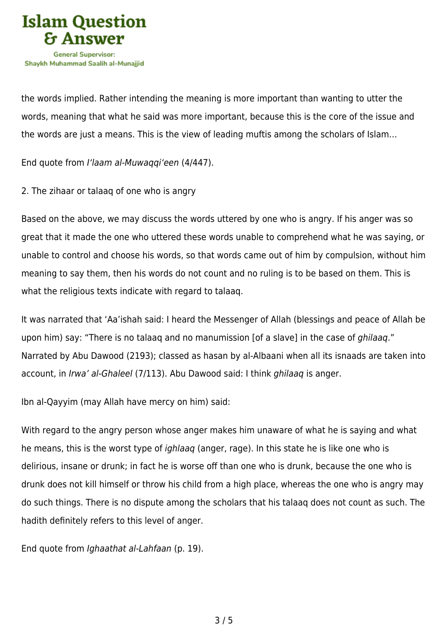

the words implied. Rather intending the meaning is more important than wanting to utter the words, meaning that what he said was more important, because this is the core of the issue and the words are just a means. This is the view of leading muftis among the scholars of Islam…

End quote from I'laam al-Muwaqqi'een (4/447).

2. The zihaar or talaaq of one who is angry

Based on the above, we may discuss the words uttered by one who is angry. If his anger was so great that it made the one who uttered these words unable to comprehend what he was saying, or unable to control and choose his words, so that words came out of him by compulsion, without him meaning to say them, then his words do not count and no ruling is to be based on them. This is what the religious texts indicate with regard to talaaq.

It was narrated that 'Aa'ishah said: I heard the Messenger of Allah (blessings and peace of Allah be upon him) say: "There is no talaaq and no manumission [of a slave] in the case of *ghilaaq*." Narrated by Abu Dawood (2193); classed as hasan by al-Albaani when all its isnaads are taken into account, in Irwa' al-Ghaleel (7/113). Abu Dawood said: I think ghilaaq is anger.

Ibn al-Qayyim (may Allah have mercy on him) said:

With regard to the angry person whose anger makes him unaware of what he is saying and what he means, this is the worst type of *ighlaaq* (anger, rage). In this state he is like one who is delirious, insane or drunk; in fact he is worse off than one who is drunk, because the one who is drunk does not kill himself or throw his child from a high place, whereas the one who is angry may do such things. There is no dispute among the scholars that his talaaq does not count as such. The hadith definitely refers to this level of anger.

End quote from Ighaathat al-Lahfaan (p. 19).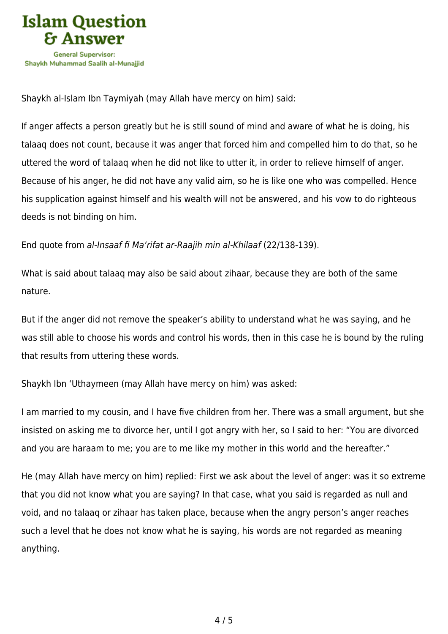

Shaykh al-Islam Ibn Taymiyah (may Allah have mercy on him) said:

If anger affects a person greatly but he is still sound of mind and aware of what he is doing, his talaaq does not count, because it was anger that forced him and compelled him to do that, so he uttered the word of talaaq when he did not like to utter it, in order to relieve himself of anger. Because of his anger, he did not have any valid aim, so he is like one who was compelled. Hence his supplication against himself and his wealth will not be answered, and his vow to do righteous deeds is not binding on him.

End quote from al-Insaaf fi Ma'rifat ar-Raajih min al-Khilaaf (22/138-139).

What is said about talaaq may also be said about zihaar, because they are both of the same nature.

But if the anger did not remove the speaker's ability to understand what he was saying, and he was still able to choose his words and control his words, then in this case he is bound by the ruling that results from uttering these words.

Shaykh Ibn 'Uthaymeen (may Allah have mercy on him) was asked:

I am married to my cousin, and I have five children from her. There was a small argument, but she insisted on asking me to divorce her, until I got angry with her, so I said to her: "You are divorced and you are haraam to me; you are to me like my mother in this world and the hereafter."

He (may Allah have mercy on him) replied: First we ask about the level of anger: was it so extreme that you did not know what you are saying? In that case, what you said is regarded as null and void, and no talaaq or zihaar has taken place, because when the angry person's anger reaches such a level that he does not know what he is saying, his words are not regarded as meaning anything.